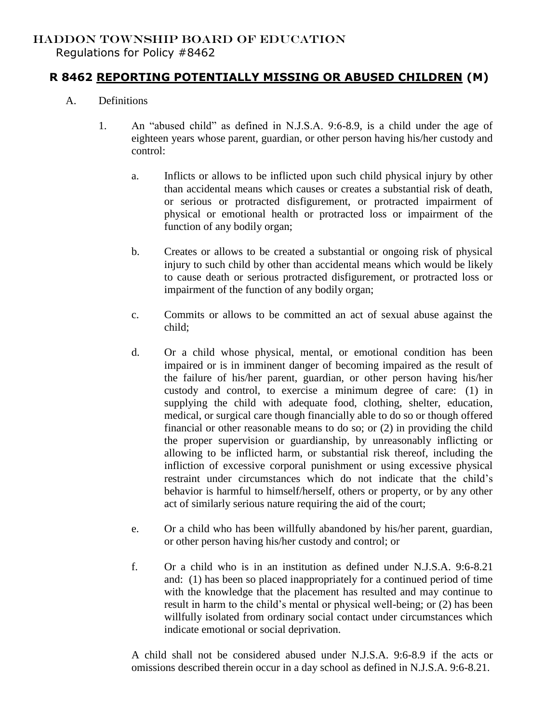## HADDON TOWNSHIP BOARD OF EDUCATION

Regulations for Policy #8462

## **R 8462 REPORTING POTENTIALLY MISSING OR ABUSED CHILDREN (M)**

- A. Definitions
	- 1. An "abused child" as defined in N.J.S.A. 9:6-8.9, is a child under the age of eighteen years whose parent, guardian, or other person having his/her custody and control:
		- a. Inflicts or allows to be inflicted upon such child physical injury by other than accidental means which causes or creates a substantial risk of death, or serious or protracted disfigurement, or protracted impairment of physical or emotional health or protracted loss or impairment of the function of any bodily organ;
		- b. Creates or allows to be created a substantial or ongoing risk of physical injury to such child by other than accidental means which would be likely to cause death or serious protracted disfigurement, or protracted loss or impairment of the function of any bodily organ;
		- c. Commits or allows to be committed an act of sexual abuse against the child;
		- d. Or a child whose physical, mental, or emotional condition has been impaired or is in imminent danger of becoming impaired as the result of the failure of his/her parent, guardian, or other person having his/her custody and control, to exercise a minimum degree of care: (1) in supplying the child with adequate food, clothing, shelter, education, medical, or surgical care though financially able to do so or though offered financial or other reasonable means to do so; or (2) in providing the child the proper supervision or guardianship, by unreasonably inflicting or allowing to be inflicted harm, or substantial risk thereof, including the infliction of excessive corporal punishment or using excessive physical restraint under circumstances which do not indicate that the child's behavior is harmful to himself/herself, others or property, or by any other act of similarly serious nature requiring the aid of the court;
		- e. Or a child who has been willfully abandoned by his/her parent, guardian, or other person having his/her custody and control; or
		- f. Or a child who is in an institution as defined under N.J.S.A. 9:6-8.21 and: (1) has been so placed inappropriately for a continued period of time with the knowledge that the placement has resulted and may continue to result in harm to the child's mental or physical well-being; or (2) has been willfully isolated from ordinary social contact under circumstances which indicate emotional or social deprivation.

A child shall not be considered abused under N.J.S.A. 9:6-8.9 if the acts or omissions described therein occur in a day school as defined in N.J.S.A. 9:6-8.21.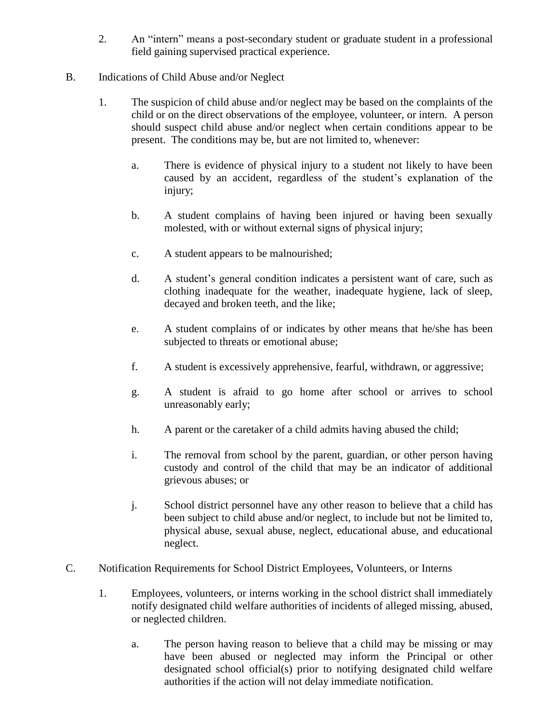2. An "intern" means a post-secondary student or graduate student in a professional field gaining supervised practical experience.

## B. Indications of Child Abuse and/or Neglect

- 1. The suspicion of child abuse and/or neglect may be based on the complaints of the child or on the direct observations of the employee, volunteer, or intern. A person should suspect child abuse and/or neglect when certain conditions appear to be present. The conditions may be, but are not limited to, whenever:
	- a. There is evidence of physical injury to a student not likely to have been caused by an accident, regardless of the student's explanation of the injury;
	- b. A student complains of having been injured or having been sexually molested, with or without external signs of physical injury;
	- c. A student appears to be malnourished;
	- d. A student's general condition indicates a persistent want of care, such as clothing inadequate for the weather, inadequate hygiene, lack of sleep, decayed and broken teeth, and the like;
	- e. A student complains of or indicates by other means that he/she has been subjected to threats or emotional abuse;
	- f. A student is excessively apprehensive, fearful, withdrawn, or aggressive;
	- g. A student is afraid to go home after school or arrives to school unreasonably early;
	- h. A parent or the caretaker of a child admits having abused the child;
	- i. The removal from school by the parent, guardian, or other person having custody and control of the child that may be an indicator of additional grievous abuses; or
	- j. School district personnel have any other reason to believe that a child has been subject to child abuse and/or neglect, to include but not be limited to, physical abuse, sexual abuse, neglect, educational abuse, and educational neglect.
- C. Notification Requirements for School District Employees, Volunteers, or Interns
	- 1. Employees, volunteers, or interns working in the school district shall immediately notify designated child welfare authorities of incidents of alleged missing, abused, or neglected children.
		- a. The person having reason to believe that a child may be missing or may have been abused or neglected may inform the Principal or other designated school official(s) prior to notifying designated child welfare authorities if the action will not delay immediate notification.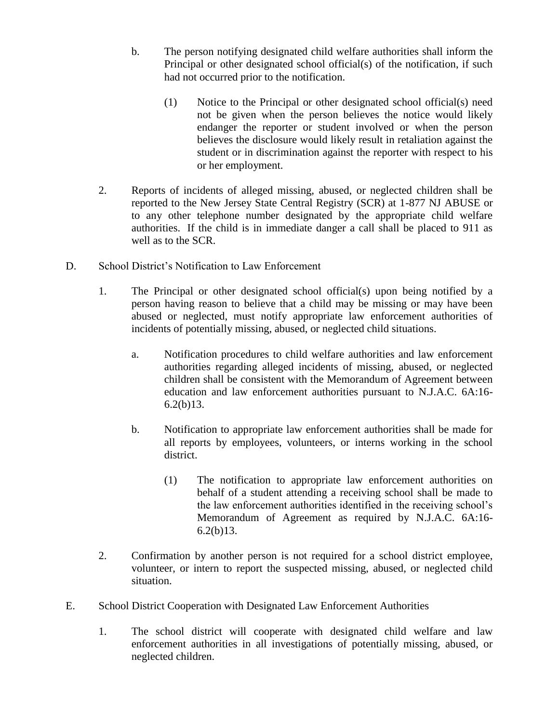- b. The person notifying designated child welfare authorities shall inform the Principal or other designated school official(s) of the notification, if such had not occurred prior to the notification.
	- (1) Notice to the Principal or other designated school official(s) need not be given when the person believes the notice would likely endanger the reporter or student involved or when the person believes the disclosure would likely result in retaliation against the student or in discrimination against the reporter with respect to his or her employment.
- 2. Reports of incidents of alleged missing, abused, or neglected children shall be reported to the New Jersey State Central Registry (SCR) at 1-877 NJ ABUSE or to any other telephone number designated by the appropriate child welfare authorities. If the child is in immediate danger a call shall be placed to 911 as well as to the SCR.
- D. School District's Notification to Law Enforcement
	- 1. The Principal or other designated school official(s) upon being notified by a person having reason to believe that a child may be missing or may have been abused or neglected, must notify appropriate law enforcement authorities of incidents of potentially missing, abused, or neglected child situations.
		- a. Notification procedures to child welfare authorities and law enforcement authorities regarding alleged incidents of missing, abused, or neglected children shall be consistent with the Memorandum of Agreement between education and law enforcement authorities pursuant to N.J.A.C. 6A:16-  $6.2(b)13.$
		- b. Notification to appropriate law enforcement authorities shall be made for all reports by employees, volunteers, or interns working in the school district.
			- (1) The notification to appropriate law enforcement authorities on behalf of a student attending a receiving school shall be made to the law enforcement authorities identified in the receiving school's Memorandum of Agreement as required by N.J.A.C. 6A:16-  $6.2(b)13.$
	- 2. Confirmation by another person is not required for a school district employee, volunteer, or intern to report the suspected missing, abused, or neglected child situation.
- E. School District Cooperation with Designated Law Enforcement Authorities
	- 1. The school district will cooperate with designated child welfare and law enforcement authorities in all investigations of potentially missing, abused, or neglected children.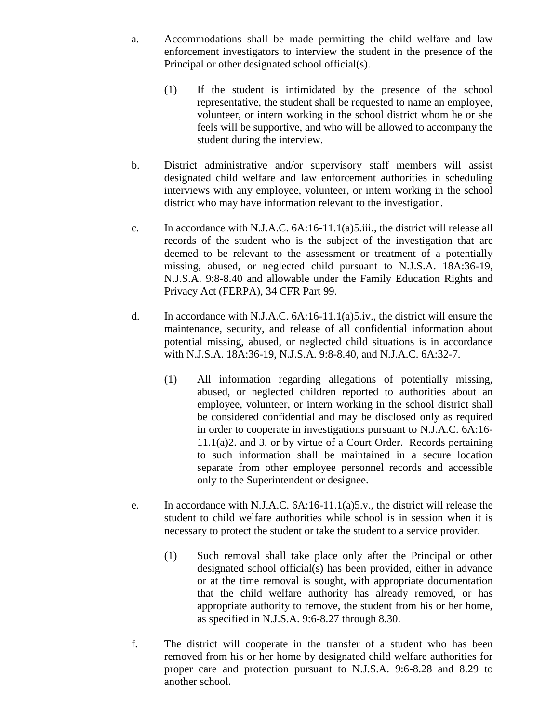- a. Accommodations shall be made permitting the child welfare and law enforcement investigators to interview the student in the presence of the Principal or other designated school official(s).
	- (1) If the student is intimidated by the presence of the school representative, the student shall be requested to name an employee, volunteer, or intern working in the school district whom he or she feels will be supportive, and who will be allowed to accompany the student during the interview.
- b. District administrative and/or supervisory staff members will assist designated child welfare and law enforcement authorities in scheduling interviews with any employee, volunteer, or intern working in the school district who may have information relevant to the investigation.
- c. In accordance with N.J.A.C. 6A:16-11.1(a)5.iii., the district will release all records of the student who is the subject of the investigation that are deemed to be relevant to the assessment or treatment of a potentially missing, abused, or neglected child pursuant to N.J.S.A. 18A:36-19, N.J.S.A. 9:8-8.40 and allowable under the Family Education Rights and Privacy Act (FERPA), 34 CFR Part 99.
- d. In accordance with N.J.A.C. 6A:16-11.1(a)5.iv., the district will ensure the maintenance, security, and release of all confidential information about potential missing, abused, or neglected child situations is in accordance with N.J.S.A. 18A:36-19, N.J.S.A. 9:8-8.40, and N.J.A.C. 6A:32-7.
	- (1) All information regarding allegations of potentially missing, abused, or neglected children reported to authorities about an employee, volunteer, or intern working in the school district shall be considered confidential and may be disclosed only as required in order to cooperate in investigations pursuant to N.J.A.C. 6A:16- 11.1(a)2. and 3. or by virtue of a Court Order. Records pertaining to such information shall be maintained in a secure location separate from other employee personnel records and accessible only to the Superintendent or designee.
- e. In accordance with N.J.A.C. 6A:16-11.1(a)5.v., the district will release the student to child welfare authorities while school is in session when it is necessary to protect the student or take the student to a service provider.
	- (1) Such removal shall take place only after the Principal or other designated school official(s) has been provided, either in advance or at the time removal is sought, with appropriate documentation that the child welfare authority has already removed, or has appropriate authority to remove, the student from his or her home, as specified in N.J.S.A. 9:6-8.27 through 8.30.
- f. The district will cooperate in the transfer of a student who has been removed from his or her home by designated child welfare authorities for proper care and protection pursuant to N.J.S.A. 9:6-8.28 and 8.29 to another school.